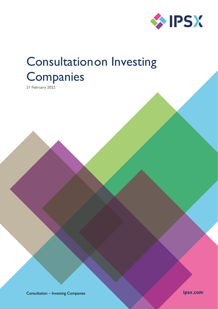

# Consultationon Investing **Companies**

21 February 2022

Consultation – Investing Companies

ipsx.com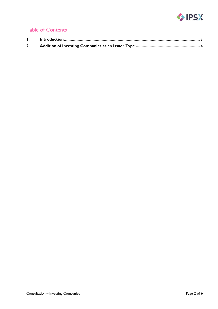

## Table of Contents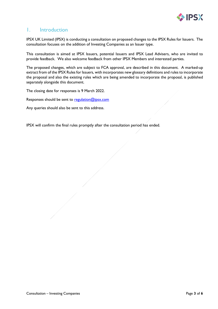

### <span id="page-2-0"></span>1. Introduction

IPSX UK Limited (IPSX) is conducting a consultation on proposed changes to the IPSX Rules for Issuers. The consultation focuses on the addition of Investing Companies as an Issuer type.

This consultation is aimed at IPSX Issuers, potential Issuers and IPSX Lead Advisers, who are invited to provide feedback. We also welcome feedback from other IPSX Members and interested parties.

The proposed changes, which are subject to FCA approval, are described in this document. A marked-up extract from of the IPSX Rules for Issuers, with incorporates new glossary definitions and rules to incorporate the proposal and also the existing rules which are being amended to incorporate the proposal, is published separately alongside this document.

The closing date for responses is 9 March 2022.

Responses should be sent to [regulation@ipsx.com](mailto:regulation@ipsx.com)

Any queries should also be sent to this address.

IPSX will confirm the final rules promptly after the consultation period has ended.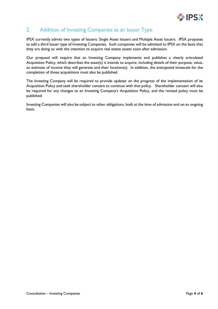

## <span id="page-3-0"></span>2. Addition of Investing Companies as an Issuer Type

IPSX currently admits two types of Issuers: Single Asset Issuers and Multiple Asset Issuers. IPSX proposes to add a third Issuer type of Investing Companies. Such companies will be admitted to IPSX on the basis that they are doing so with the intention to acquire real estate assets soon after admission.

Our proposal will require that an Investing Company implements and publishes a clearly articulated Acquisition Policy, which describes the asset(s) it intends to acquire, including details of their purpose, value, an estimate of income they will generate and their location(s). In addition, the anticipated timescale for the completion of those acquisitions must also be published.

The Investing Company will be required to provide updates on the progress of the implementation of its Acquisition Policy and seek shareholder consent to continue with that policy. Shareholder consent will also be required for any changes to an Investing Company's Acquisition Policy, and the revised policy must be published.

Investing Companies will also be subject to other obligations, both at the time of admission and on an ongoing basis.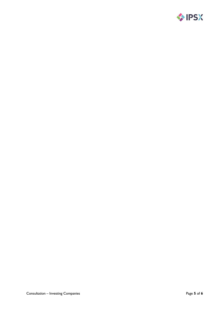